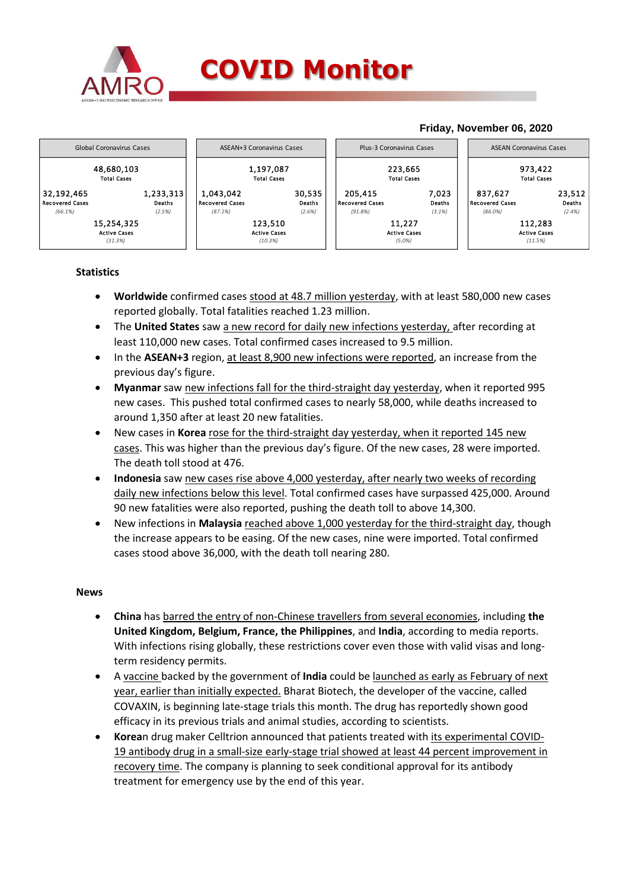

## **COVID Monitor**

#### **Friday, November 06, 2020** 48,680,103 1,197,087 223,665 973,422 Total Cases Total Cases Total Cases Total Cases 32,192,465 1,233,313| | 1,043,042 30,535 | | 205,415 7,023 | | 837,627 23,512 Recovered Cases Deaths Recovered Cases Deaths Recovered Cases Deaths Recovered Cases Deaths *(66.1%) (2.5%) (87.1%) (2.6%) (91.8%) (3.1%) (86.0%) (2.4%)* 15,254,325 123,510 11,227 112,283 Active Cases Active Cases Active Cases Active Cases *(31.3%) (10.3%) (5.0%) (11.5%)* Global Coronavirus Cases **ASEAN+3 Coronavirus Cases** Plus-3 Coronavirus Cases ASEAN Coronavirus Cases ASEAN Coronavirus Cases

### **Statistics**

- **Worldwide** confirmed cases stood at 48.7 million yesterday, with at least 580,000 new cases reported globally. Total fatalities reached 1.23 million.
- The **United States** saw a new record for daily new infections yesterday, after recording at least 110,000 new cases. Total confirmed cases increased to 9.5 million.
- In the **ASEAN+3** region, at least 8,900 new infections were reported, an increase from the previous day's figure.
- **Myanmar** saw new infections fall for the third-straight day yesterday, when it reported 995 new cases. This pushed total confirmed cases to nearly 58,000, while deaths increased to around 1,350 after at least 20 new fatalities.
- New cases in **Korea** rose for the third-straight day yesterday, when it reported 145 new cases. This was higher than the previous day's figure. Of the new cases, 28 were imported. The death toll stood at 476.
- **Indonesia** saw new cases rise above 4,000 yesterday, after nearly two weeks of recording daily new infections below this level. Total confirmed cases have surpassed 425,000. Around 90 new fatalities were also reported, pushing the death toll to above 14,300.
- New infections in **Malaysia** reached above 1,000 yesterday for the third-straight day, though the increase appears to be easing. Of the new cases, nine were imported. Total confirmed cases stood above 36,000, with the death toll nearing 280.

#### **News**

- **China** has barred the entry of non-Chinese travellers from several economies, including **the United Kingdom, Belgium, France, the Philippines**, and **India**, according to media reports. With infections rising globally, these restrictions cover even those with valid visas and longterm residency permits.
- A vaccine backed by the government of **India** could be launched as early as February of next year, earlier than initially expected. Bharat Biotech, the developer of the vaccine, called COVAXIN, is beginning late-stage trials this month. The drug has reportedly shown good efficacy in its previous trials and animal studies, according to scientists.
- **Korea**n drug maker Celltrion announced that patients treated with its experimental COVID-19 antibody drug in a small-size early-stage trial showed at least 44 percent improvement in recovery time. The company is planning to seek conditional approval for its antibody treatment for emergency use by the end of this year.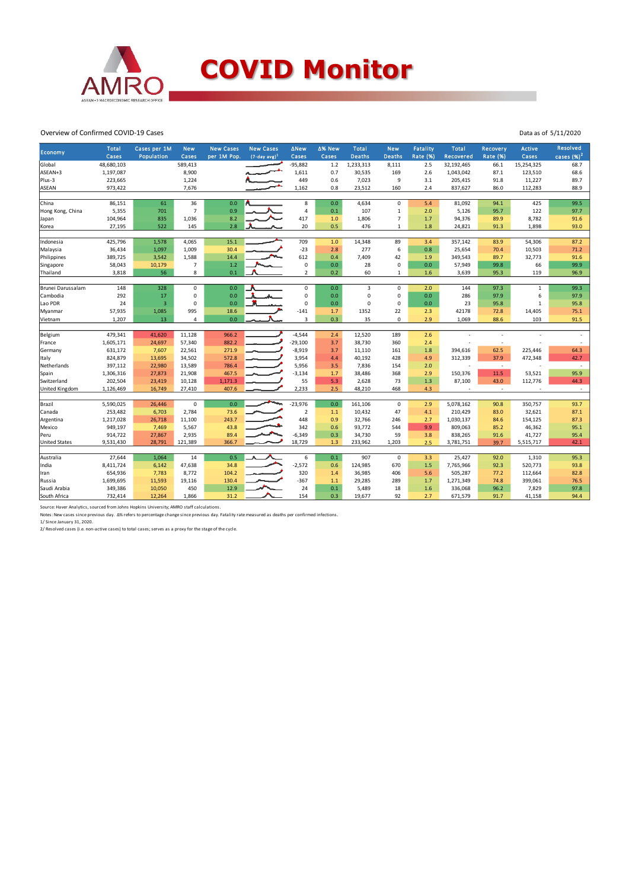

#### Overview of Confirmed COVID-19 Cases

|                      | <b>Total</b> | Cases per 1M            | <b>New</b>     | <b>New Cases</b> | <b>New Cases</b>            | <b>ANew</b>    | ∆% New  | <b>Total</b>   | <b>New</b>     | <b>Fatality</b> | <b>Total</b> | <b>Recovery</b>          | Active      | Resolved     |
|----------------------|--------------|-------------------------|----------------|------------------|-----------------------------|----------------|---------|----------------|----------------|-----------------|--------------|--------------------------|-------------|--------------|
| Economy              | Cases        | Population              | Cases          | per 1M Pop.      | $(7$ -day avg) <sup>1</sup> | Cases          | Cases   | <b>Deaths</b>  | <b>Deaths</b>  | Rate (%)        | Recovered    | <b>Rate (%)</b>          | Cases       | cases $(%)2$ |
| Global               | 48,680,103   |                         | 589,413        |                  |                             | $-95,882$      | $1.2$   | 1,233,313      | 8,111          | 2.5             | 32,192,465   | 66.1                     | 15,254,325  | 68.7         |
| ASEAN+3              | 1,197,087    |                         | 8,900          |                  |                             | 1,611          | 0.7     | 30,535         | 169            | 2.6             | 1,043,042    | 87.1                     | 123,510     | 68.6         |
| Plus-3               | 223,665      |                         | 1,224          |                  |                             | 449            | 0.6     | 7,023          | 9              | 3.1             | 205,415      | 91.8                     | 11,227      | 89.7         |
| ASEAN                | 973,422      |                         | 7,676          |                  |                             | 1,162          | 0.8     | 23,512         | 160            | 2.4             | 837,627      | 86.0                     | 112,283     | 88.9         |
|                      |              |                         |                |                  |                             |                |         |                |                |                 |              |                          |             |              |
| China                | 86,151       | 61                      | 36             | 0.0              |                             | 8              | 0.0     | 4,634          | $\mathbf 0$    | 5.4             | 81,092       | 94.1                     | 425         | 99.5         |
| Hong Kong, China     | 5,355        | 701                     | $\overline{7}$ | 0.9              |                             | 4              | 0.1     | 107            | $\mathbf{1}$   | 2.0             | 5,126        | 95.7                     | 122         | 97.7         |
| Japan                | 104,964      | 835                     | 1,036          | 8.2              |                             | 417            | 1.0     | 1,806          | $\overline{7}$ | 1.7             | 94,376       | 89.9                     | 8,782       | 91.6         |
| Korea                | 27,195       | 522                     | 145            | 2.8              | ⋏                           | 20             | 0.5     | 476            | 1              | 1.8             | 24,821       | 91.3                     | 1,898       | 93.0         |
|                      |              |                         |                |                  |                             |                |         |                |                |                 |              |                          |             |              |
| Indonesia            | 425,796      | 1,578                   | 4,065          | 15.1             |                             | 709            | 1.0     | 14,348         | 89             | 3.4             | 357,142      | 83.9                     | 54,306      | 87.2         |
| Malaysia             | 36,434       | 1,097                   | 1,009          | 30.4             |                             | $-23$          | 2.8     | 277            | 6              | 0.8             | 25,654       | 70.4                     | 10,503      | 71.2         |
| Philippines          | 389,725      | 3,542                   | 1,588          | 14.4             |                             | 612            | 0.4     | 7,409          | 42             | 1.9             | 349,543      | 89.7                     | 32,773      | 91.6         |
| Singapore            | 58,043       | 10,179                  | $\overline{7}$ | 1.2              |                             | $\pmb{0}$      | 0.0     | 28             | $\mathbf 0$    | 0.0             | 57,949       | 99.8                     | 66          | 99.9         |
| Thailand             | 3,818        | 56                      | 8              | 0.1              |                             | 2              | 0.2     | 60             | $\mathbf{1}$   | 1.6             | 3,639        | 95.3                     | 119         | 96.9         |
|                      |              |                         |                |                  |                             | $\mathbf 0$    |         | $\overline{3}$ | $\Omega$       |                 |              |                          |             | 99.3         |
| Brunei Darussalam    | 148          | 328                     | $\mathbf 0$    | 0.0              |                             |                | 0.0     | 0              | $\mathbf 0$    | 2.0             | 144          | 97.3                     | $\mathbf 1$ |              |
| Cambodia             | 292          | 17                      | $\mathbf 0$    | 0.0              |                             | 0              | 0.0     |                | $\Omega$       | 0.0             | 286          | 97.9                     | 6           | 97.9         |
| Lao PDR              | 24           | $\overline{\mathbf{3}}$ | $\mathbf 0$    | 0.0              |                             | 0              | $0.0\,$ | 0              |                | 0.0             | 23           | 95.8                     | $\,$ 1 $\,$ | 95.8         |
| Myanmar              | 57,935       | 1,085                   | 995            | 18.6             |                             | $-141$         | 1.7     | 1352           | 22             | 2.3             | 42178        | 72.8                     | 14,405      | 75.1         |
| Vietnam              | 1,207        | 13                      | $\overline{4}$ | 0.0              |                             | 3              | 0.3     | 35             | $\mathbf 0$    | 2.9             | 1,069        | 88.6                     | 103         | 91.5         |
| Belgium              | 479,341      | 41,620                  | 11,128         | 966.2            |                             | $-4,544$       | 2.4     | 12,520         | 189            | 2.6             |              |                          |             |              |
| France               | 1,605,171    | 24,697                  | 57,340         | 882.2            |                             | $-29,100$      | 3.7     | 38,730         | 360            | 2.4             |              |                          |             |              |
| Germany              | 631,172      | 7,607                   | 22,561         | 271.9            |                             | $-8,919$       | 3.7     | 11,110         | 161            | 1.8             | 394,616      | 62.5                     | 225,446     | 64.3         |
| Italy                | 824,879      | 13,695                  | 34,502         | 572.8            |                             | 3,954          | 4.4     | 40,192         | 428            | 4.9             | 312,339      | 37.9                     | 472,348     | 42.7         |
| Netherlands          | 397,112      | 22,980                  | 13,589         | 786.4            |                             | 5,956          | 3.5     | 7,836          | 154            | 2.0             | ÷            | $\overline{\phantom{a}}$ |             | $\sim$       |
| Spain                | 1,306,316    | 27,873                  | 21,908         | 467.5            |                             | $-3,134$       | 1.7     | 38,486         | 368            | 2.9             | 150,376      | 11.5                     | 53,521      | 95.9         |
| Switzerland          | 202,504      | 23,419                  | 10,128         | 1,171.3          |                             | 55             | 5.3     | 2,628          | 73             | 1.3             | 87,100       | 43.0                     | 112,776     | 44.3         |
| United Kingdom       | 1,126,469    | 16,749                  | 27,410         | 407.6            |                             | 2,233          | 2.5     | 48,210         | 468            | 4.3             |              | $\sim$                   |             | $\sim$       |
|                      |              |                         |                |                  |                             |                |         |                |                |                 |              |                          |             |              |
| Brazil               | 5,590,025    | 26,446                  | $\mathsf 0$    | 0.0              |                             | $-23,976$      | 0.0     | 161,106        | $\mathbf 0$    | 2.9             | 5,078,162    | 90.8                     | 350,757     | 93.7         |
| Canada               | 253,482      | 6,703                   | 2,784          | 73.6             |                             | $\overline{2}$ | $1.1\,$ | 10,432         | 47             | 4.1             | 210,429      | 83.0                     | 32,621      | 87.1         |
| Argentina            | 1,217,028    | 26,718                  | 11,100         | 243.7            |                             | 448            | 0.9     | 32,766         | 246            | 2.7             | 1,030,137    | 84.6                     | 154,125     | 87.3         |
| Mexico               | 949,197      | 7,469                   | 5,567          | 43.8             |                             | 342            | 0.6     | 93,772         | 544            | 9.9             | 809,063      | 85.2                     | 46,362      | 95.1         |
| Peru                 | 914,722      | 27,867                  | 2,935          | 89.4             |                             | $-6,349$       | 0.3     | 34,730         | 59             | 3.8             | 838,265      | 91.6                     | 41,727      | 95.4         |
| <b>United States</b> | 9,531,430    | 28,791                  | 121,389        | 366.7            |                             | 18,729         | 1.3     | 233,962        | 1,203          | 2.5             | 3,781,751    | 39.7                     | 5,515,717   | 42.1         |
|                      |              |                         |                |                  |                             |                |         |                |                |                 |              |                          |             |              |
| Australia            | 27,644       | 1,064                   | 14             | 0.5              |                             | 6              | 0.1     | 907            | $\mathbf 0$    | 3.3             | 25,427       | 92.0                     | 1,310       | 95.3         |
| India                | 8,411,724    | 6,142                   | 47,638         | 34.8             |                             | $-2,572$       | 0.6     | 124,985        | 670            | 1.5             | 7,765,966    | 92.3                     | 520,773     | 93.8         |
| Iran                 | 654,936      | 7,783                   | 8,772          | 104.2            |                             | 320            | 1.4     | 36,985         | 406            | 5.6             | 505,287      | 77.2                     | 112,664     | 82.8         |
| Russia               | 1,699,695    | 11,593                  | 19,116         | 130.4            |                             | $-367$         | 1.1     | 29,285         | 289            | 1.7             | 1,271,349    | 74.8                     | 399,061     | 76.5         |
| Saudi Arabia         | 349,386      | 10,050                  | 450            | 12.9             |                             | 24             | 0.1     | 5,489          | 18             | 1.6             | 336,068      | 96.2                     | 7,829       | 97.8         |
| South Africa         | 732,414      | 12,264                  | 1,866          | 31.2             |                             | 154            | 0.3     | 19,677         | 92             | 2.7             | 671,579      | 91.7                     | 41,158      | 94.4         |

Data as of 5/11/2020

Source: Haver Analytics, sourced from Johns Hopkins University; AMRO staff calculations.<br>Notes: New cases since previous day. Δ% refers to percentage change since previous day. Fatality rate measured as deaths per confirme